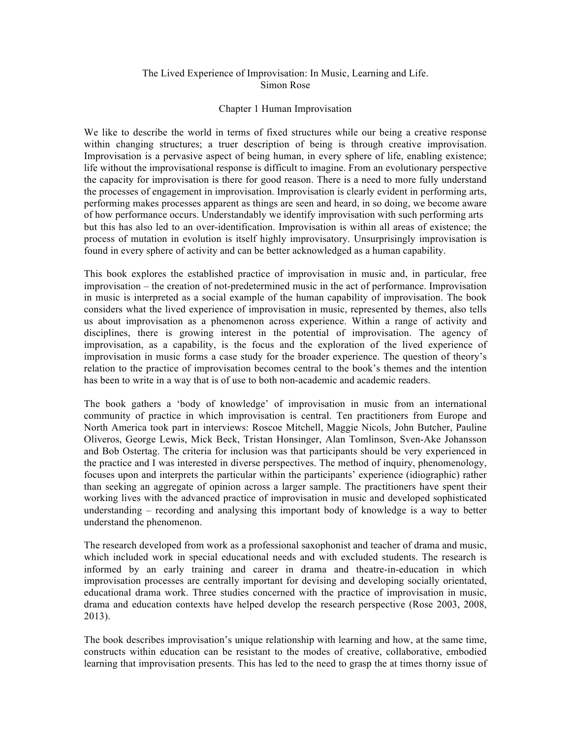## The Lived Experience of Improvisation: In Music, Learning and Life. Simon Rose

## Chapter 1 Human Improvisation

We like to describe the world in terms of fixed structures while our being a creative response within changing structures; a truer description of being is through creative improvisation. Improvisation is a pervasive aspect of being human, in every sphere of life, enabling existence; life without the improvisational response is difficult to imagine. From an evolutionary perspective the capacity for improvisation is there for good reason. There is a need to more fully understand the processes of engagement in improvisation. Improvisation is clearly evident in performing arts, performing makes processes apparent as things are seen and heard, in so doing, we become aware of how performance occurs. Understandably we identify improvisation with such performing arts but this has also led to an over-identification. Improvisation is within all areas of existence; the process of mutation in evolution is itself highly improvisatory. Unsurprisingly improvisation is found in every sphere of activity and can be better acknowledged as a human capability.

This book explores the established practice of improvisation in music and, in particular, free improvisation – the creation of not-predetermined music in the act of performance. Improvisation in music is interpreted as a social example of the human capability of improvisation. The book considers what the lived experience of improvisation in music, represented by themes, also tells us about improvisation as a phenomenon across experience. Within a range of activity and disciplines, there is growing interest in the potential of improvisation. The agency of improvisation, as a capability, is the focus and the exploration of the lived experience of improvisation in music forms a case study for the broader experience. The question of theory's relation to the practice of improvisation becomes central to the book's themes and the intention has been to write in a way that is of use to both non-academic and academic readers.

The book gathers a 'body of knowledge' of improvisation in music from an international community of practice in which improvisation is central. Ten practitioners from Europe and North America took part in interviews: Roscoe Mitchell, Maggie Nicols, John Butcher, Pauline Oliveros, George Lewis, Mick Beck, Tristan Honsinger, Alan Tomlinson, Sven-Ake Johansson and Bob Ostertag. The criteria for inclusion was that participants should be very experienced in the practice and I was interested in diverse perspectives. The method of inquiry, phenomenology, focuses upon and interprets the particular within the participants' experience (idiographic) rather than seeking an aggregate of opinion across a larger sample. The practitioners have spent their working lives with the advanced practice of improvisation in music and developed sophisticated understanding – recording and analysing this important body of knowledge is a way to better understand the phenomenon.

The research developed from work as a professional saxophonist and teacher of drama and music, which included work in special educational needs and with excluded students. The research is informed by an early training and career in drama and theatre-in-education in which improvisation processes are centrally important for devising and developing socially orientated, educational drama work. Three studies concerned with the practice of improvisation in music, drama and education contexts have helped develop the research perspective (Rose 2003, 2008, 2013).

The book describes improvisation's unique relationship with learning and how, at the same time, constructs within education can be resistant to the modes of creative, collaborative, embodied learning that improvisation presents. This has led to the need to grasp the at times thorny issue of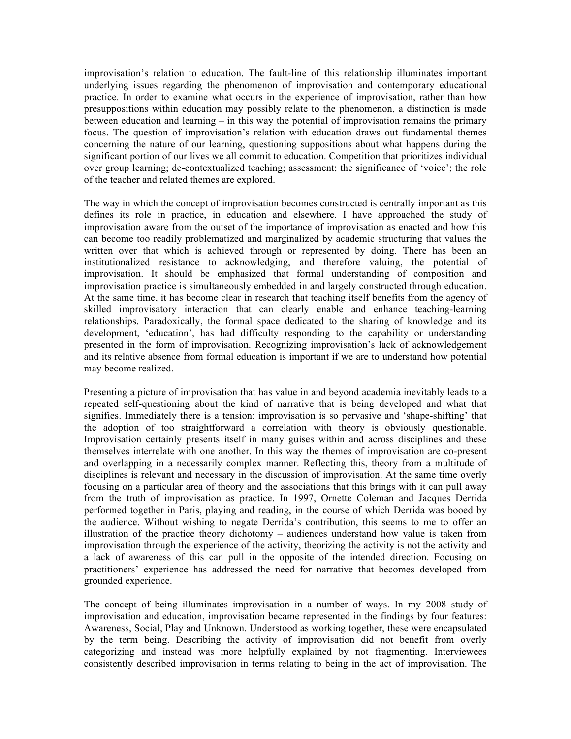improvisation's relation to education. The fault-line of this relationship illuminates important underlying issues regarding the phenomenon of improvisation and contemporary educational practice. In order to examine what occurs in the experience of improvisation, rather than how presuppositions within education may possibly relate to the phenomenon, a distinction is made between education and learning – in this way the potential of improvisation remains the primary focus. The question of improvisation's relation with education draws out fundamental themes concerning the nature of our learning, questioning suppositions about what happens during the significant portion of our lives we all commit to education. Competition that prioritizes individual over group learning; de-contextualized teaching; assessment; the significance of 'voice'; the role of the teacher and related themes are explored.

The way in which the concept of improvisation becomes constructed is centrally important as this defines its role in practice, in education and elsewhere. I have approached the study of improvisation aware from the outset of the importance of improvisation as enacted and how this can become too readily problematized and marginalized by academic structuring that values the written over that which is achieved through or represented by doing. There has been an institutionalized resistance to acknowledging, and therefore valuing, the potential of improvisation. It should be emphasized that formal understanding of composition and improvisation practice is simultaneously embedded in and largely constructed through education. At the same time, it has become clear in research that teaching itself benefits from the agency of skilled improvisatory interaction that can clearly enable and enhance teaching-learning relationships. Paradoxically, the formal space dedicated to the sharing of knowledge and its development, 'education', has had difficulty responding to the capability or understanding presented in the form of improvisation. Recognizing improvisation's lack of acknowledgement and its relative absence from formal education is important if we are to understand how potential may become realized.

Presenting a picture of improvisation that has value in and beyond academia inevitably leads to a repeated self-questioning about the kind of narrative that is being developed and what that signifies. Immediately there is a tension: improvisation is so pervasive and 'shape-shifting' that the adoption of too straightforward a correlation with theory is obviously questionable. Improvisation certainly presents itself in many guises within and across disciplines and these themselves interrelate with one another. In this way the themes of improvisation are co-present and overlapping in a necessarily complex manner. Reflecting this, theory from a multitude of disciplines is relevant and necessary in the discussion of improvisation. At the same time overly focusing on a particular area of theory and the associations that this brings with it can pull away from the truth of improvisation as practice. In 1997, Ornette Coleman and Jacques Derrida performed together in Paris, playing and reading, in the course of which Derrida was booed by the audience. Without wishing to negate Derrida's contribution, this seems to me to offer an illustration of the practice theory dichotomy – audiences understand how value is taken from improvisation through the experience of the activity, theorizing the activity is not the activity and a lack of awareness of this can pull in the opposite of the intended direction. Focusing on practitioners' experience has addressed the need for narrative that becomes developed from grounded experience.

The concept of being illuminates improvisation in a number of ways. In my 2008 study of improvisation and education, improvisation became represented in the findings by four features: Awareness, Social, Play and Unknown. Understood as working together, these were encapsulated by the term being. Describing the activity of improvisation did not benefit from overly categorizing and instead was more helpfully explained by not fragmenting. Interviewees consistently described improvisation in terms relating to being in the act of improvisation. The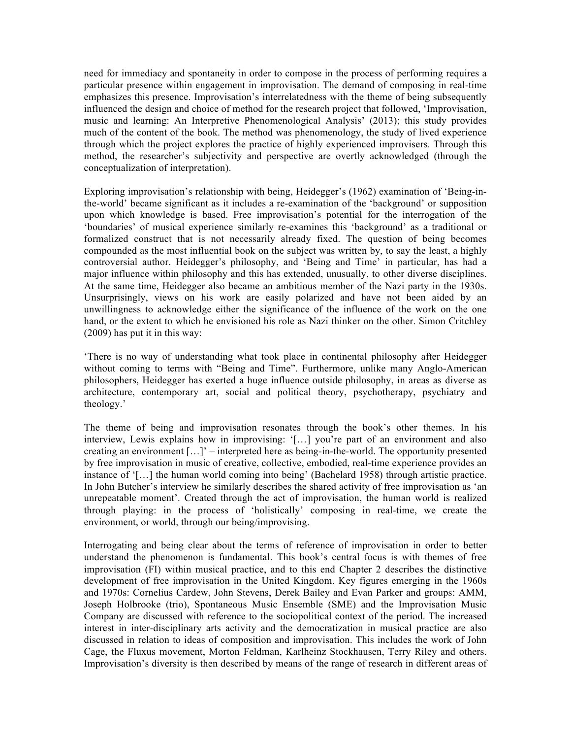need for immediacy and spontaneity in order to compose in the process of performing requires a particular presence within engagement in improvisation. The demand of composing in real-time emphasizes this presence. Improvisation's interrelatedness with the theme of being subsequently influenced the design and choice of method for the research project that followed, 'Improvisation, music and learning: An Interpretive Phenomenological Analysis' (2013); this study provides much of the content of the book. The method was phenomenology, the study of lived experience through which the project explores the practice of highly experienced improvisers. Through this method, the researcher's subjectivity and perspective are overtly acknowledged (through the conceptualization of interpretation).

Exploring improvisation's relationship with being, Heidegger's (1962) examination of 'Being-inthe-world' became significant as it includes a re-examination of the 'background' or supposition upon which knowledge is based. Free improvisation's potential for the interrogation of the 'boundaries' of musical experience similarly re-examines this 'background' as a traditional or formalized construct that is not necessarily already fixed. The question of being becomes compounded as the most influential book on the subject was written by, to say the least, a highly controversial author. Heidegger's philosophy, and 'Being and Time' in particular, has had a major influence within philosophy and this has extended, unusually, to other diverse disciplines. At the same time, Heidegger also became an ambitious member of the Nazi party in the 1930s. Unsurprisingly, views on his work are easily polarized and have not been aided by an unwillingness to acknowledge either the significance of the influence of the work on the one hand, or the extent to which he envisioned his role as Nazi thinker on the other. Simon Critchley (2009) has put it in this way:

'There is no way of understanding what took place in continental philosophy after Heidegger without coming to terms with "Being and Time". Furthermore, unlike many Anglo-American philosophers, Heidegger has exerted a huge influence outside philosophy, in areas as diverse as architecture, contemporary art, social and political theory, psychotherapy, psychiatry and theology.'

The theme of being and improvisation resonates through the book's other themes. In his interview, Lewis explains how in improvising: '[…] you're part of an environment and also creating an environment […]' – interpreted here as being-in-the-world. The opportunity presented by free improvisation in music of creative, collective, embodied, real-time experience provides an instance of '[…] the human world coming into being' (Bachelard 1958) through artistic practice. In John Butcher's interview he similarly describes the shared activity of free improvisation as 'an unrepeatable moment'. Created through the act of improvisation, the human world is realized through playing: in the process of 'holistically' composing in real-time, we create the environment, or world, through our being/improvising.

Interrogating and being clear about the terms of reference of improvisation in order to better understand the phenomenon is fundamental. This book's central focus is with themes of free improvisation (FI) within musical practice, and to this end Chapter 2 describes the distinctive development of free improvisation in the United Kingdom. Key figures emerging in the 1960s and 1970s: Cornelius Cardew, John Stevens, Derek Bailey and Evan Parker and groups: AMM, Joseph Holbrooke (trio), Spontaneous Music Ensemble (SME) and the Improvisation Music Company are discussed with reference to the sociopolitical context of the period. The increased interest in inter-disciplinary arts activity and the democratization in musical practice are also discussed in relation to ideas of composition and improvisation. This includes the work of John Cage, the Fluxus movement, Morton Feldman, Karlheinz Stockhausen, Terry Riley and others. Improvisation's diversity is then described by means of the range of research in different areas of